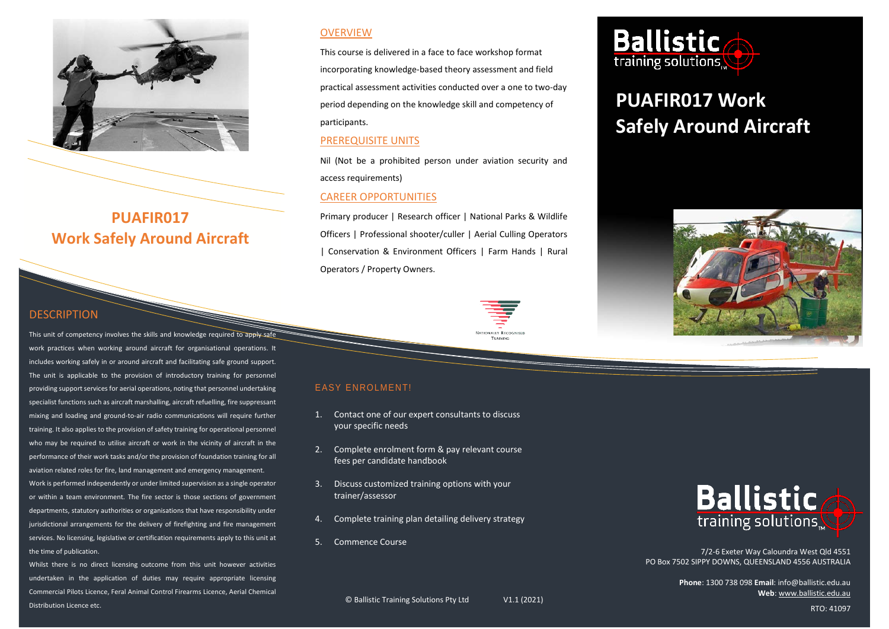

**PUAFIR017 Work Safely Around Aircraft**

# **DESCRIPTION**

This unit of competency involves the skills and knowledge required to apply safe work practices when working around aircraft for organisational operations. It includes working safely in or around aircraft and facilitating safe ground support. The unit is applicable to the provision of introductory training for personnel providing support services for aerial operations, noting that personnel undertaking specialist functions such as aircraft marshalling, aircraft refuelling, fire suppressant mixing and loading and ground-to-air radio communications will require further training. It also applies to the provision of safety training for operational personnel who may be required to utilise aircraft or work in the vicinity of aircraft in the performance of their work tasks and/or the provision of foundation training for all aviation related roles for fire, land management and emergency management. Work is performed independently or under limited supervision as a single operator or within a team environment. The fire sector is those sections of government departments, statutory authorities or organisations that have responsibility under jurisdictional arrangements for the delivery of firefighting and fire management services. No licensing, legislative or certification requirements apply to this unit at the time of publication.

Whilst there is no direct licensing outcome from this unit however activities undertaken in the application of duties may require appropriate licensing Commercial Pilots Licence, Feral Animal Control Firearms Licence, Aerial Chemical Distribution Licence etc.

### **OVERVIEW**

This course is delivered in a face to face workshop format incorporating knowledge-based theory assessment and field practical assessment activities conducted over a one to two-day period depending on the knowledge skill and competency of participants.

## PREREQUISITE UNITS

Nil (Not be a prohibited person under aviation security and access requirements)

#### CAREER OPPORTUNITIES

Primary producer | Research officer | National Parks & Wildlife Officers | Professional shooter/culler | Aerial Culling Operators | Conservation & Environment Officers | Farm Hands | Rural Operators / Property Owners.

> **NATIONALLY RECOGNIEED** TRAINING



# **PUAFIR017 Work Safely Around Aircraft**



# EASY ENROLMENT!

- 1. Contact one of our expert consultants to discuss your specific needs
- 2. Complete enrolment form & pay relevant course fees per candidate handbook
- 3. Discuss customized training options with your trainer/assessor
- 4. Complete training plan detailing delivery strategy
- 5. Commence Course



7/2-6 Exeter Way Caloundra West Qld 4551 PO Box 7502 SIPPY DOWNS, QUEENSLAND 4556 AUSTRALIA

> **Phone**: 1300 738 098 **Email**: info@ballistic.edu.au **Web**[: www.ballistic.edu.au](http://www.ballistic.edu.au/)